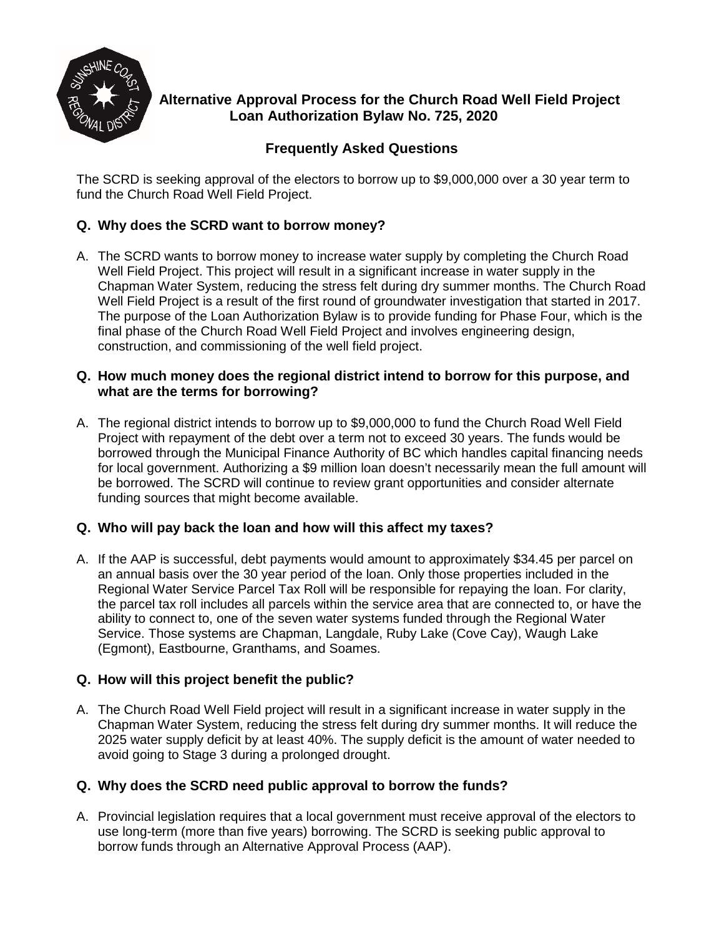

# **Alternative Approval Process for the Church Road Well Field Project Loan Authorization Bylaw No. 725, 2020**

# **Frequently Asked Questions**

The SCRD is seeking approval of the electors to borrow up to \$9,000,000 over a 30 year term to fund the Church Road Well Field Project.

# **Q. Why does the SCRD want to borrow money?**

A. The SCRD wants to borrow money to increase water supply by completing the Church Road Well Field Project. This project will result in a significant increase in water supply in the Chapman Water System, reducing the stress felt during dry summer months. The Church Road Well Field Project is a result of the first round of groundwater investigation that started in 2017. The purpose of the Loan Authorization Bylaw is to provide funding for Phase Four, which is the final phase of the Church Road Well Field Project and involves engineering design, construction, and commissioning of the well field project.

### **Q. How much money does the regional district intend to borrow for this purpose, and what are the terms for borrowing?**

A. The regional district intends to borrow up to \$9,000,000 to fund the Church Road Well Field Project with repayment of the debt over a term not to exceed 30 years. The funds would be borrowed through the Municipal Finance Authority of BC which handles capital financing needs for local government. Authorizing a \$9 million loan doesn't necessarily mean the full amount will be borrowed. The SCRD will continue to review grant opportunities and consider alternate funding sources that might become available.

# **Q. Who will pay back the loan and how will this affect my taxes?**

A. If the AAP is successful, debt payments would amount to approximately \$34.45 per parcel on an annual basis over the 30 year period of the loan. Only those properties included in the Regional Water Service Parcel Tax Roll will be responsible for repaying the loan. For clarity, the parcel tax roll includes all parcels within the service area that are connected to, or have the ability to connect to, one of the seven water systems funded through the Regional Water Service. Those systems are Chapman, Langdale, Ruby Lake (Cove Cay), Waugh Lake (Egmont), Eastbourne, Granthams, and Soames.

# **Q. How will this project benefit the public?**

A. The Church Road Well Field project will result in a significant increase in water supply in the Chapman Water System, reducing the stress felt during dry summer months. It will reduce the 2025 water supply deficit by at least 40%. The supply deficit is the amount of water needed to avoid going to Stage 3 during a prolonged drought.

# **Q. Why does the SCRD need public approval to borrow the funds?**

A. Provincial legislation requires that a local government must receive approval of the electors to use long-term (more than five years) borrowing. The SCRD is seeking public approval to borrow funds through an Alternative Approval Process (AAP).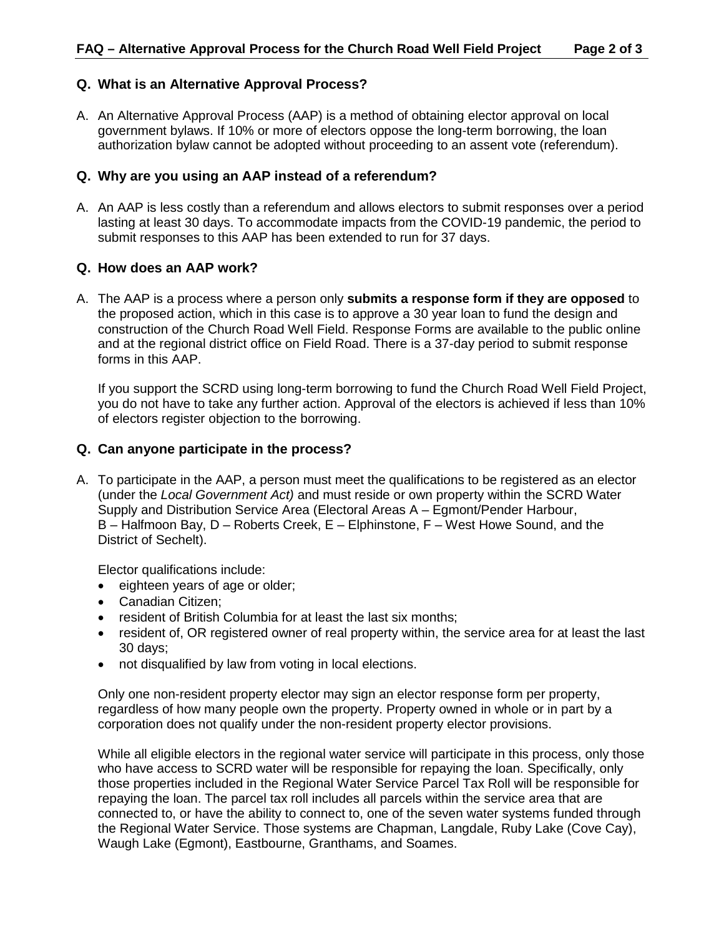#### **Q. What is an Alternative Approval Process?**

A. An Alternative Approval Process (AAP) is a method of obtaining elector approval on local government bylaws. If 10% or more of electors oppose the long-term borrowing, the loan authorization bylaw cannot be adopted without proceeding to an assent vote (referendum).

### **Q. Why are you using an AAP instead of a referendum?**

A. An AAP is less costly than a referendum and allows electors to submit responses over a period lasting at least 30 days. To accommodate impacts from the COVID-19 pandemic, the period to submit responses to this AAP has been extended to run for 37 days.

#### **Q. How does an AAP work?**

A. The AAP is a process where a person only **submits a response form if they are opposed** to the proposed action, which in this case is to approve a 30 year loan to fund the design and construction of the Church Road Well Field. Response Forms are available to the public online and at the regional district office on Field Road. There is a 37-day period to submit response forms in this AAP.

If you support the SCRD using long-term borrowing to fund the Church Road Well Field Project, you do not have to take any further action. Approval of the electors is achieved if less than 10% of electors register objection to the borrowing.

### **Q. Can anyone participate in the process?**

A. To participate in the AAP, a person must meet the qualifications to be registered as an elector (under the *Local Government Act)* and must reside or own property within the SCRD Water Supply and Distribution Service Area (Electoral Areas A – Egmont/Pender Harbour, B – Halfmoon Bay, D – Roberts Creek, E – Elphinstone, F – West Howe Sound, and the District of Sechelt).

Elector qualifications include:

- eighteen years of age or older;
- Canadian Citizen;
- resident of British Columbia for at least the last six months;
- resident of, OR registered owner of real property within, the service area for at least the last 30 days;
- not disqualified by law from voting in local elections.

Only one non-resident property elector may sign an elector response form per property, regardless of how many people own the property. Property owned in whole or in part by a corporation does not qualify under the non-resident property elector provisions.

While all eligible electors in the regional water service will participate in this process, only those who have access to SCRD water will be responsible for repaying the loan. Specifically, only those properties included in the Regional Water Service Parcel Tax Roll will be responsible for repaying the loan. The parcel tax roll includes all parcels within the service area that are connected to, or have the ability to connect to, one of the seven water systems funded through the Regional Water Service. Those systems are Chapman, Langdale, Ruby Lake (Cove Cay), Waugh Lake (Egmont), Eastbourne, Granthams, and Soames.